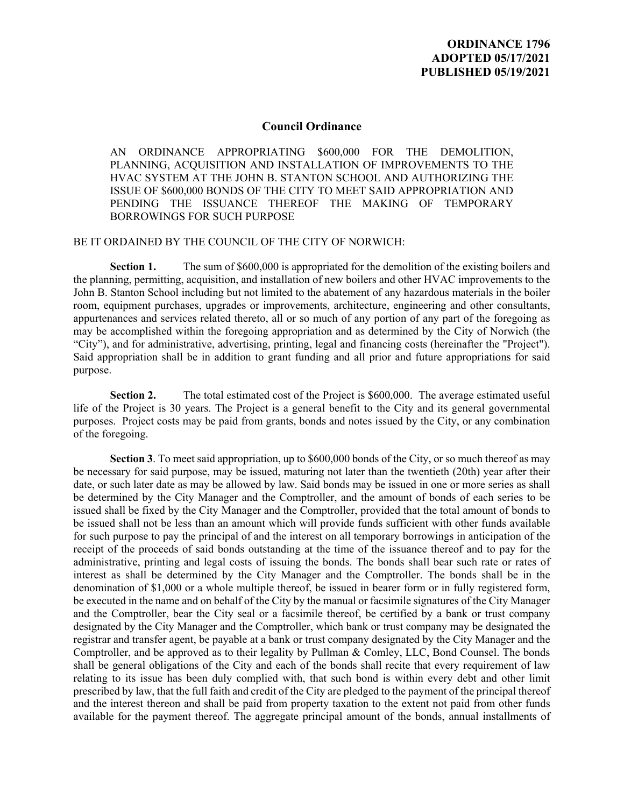## **Council Ordinance**

AN ORDINANCE APPROPRIATING \$600,000 FOR THE DEMOLITION, PLANNING, ACQUISITION AND INSTALLATION OF IMPROVEMENTS TO THE HVAC SYSTEM AT THE JOHN B. STANTON SCHOOL AND AUTHORIZING THE ISSUE OF \$600,000 BONDS OF THE CITY TO MEET SAID APPROPRIATION AND PENDING THE ISSUANCE THEREOF THE MAKING OF TEMPORARY BORROWINGS FOR SUCH PURPOSE

## BE IT ORDAINED BY THE COUNCIL OF THE CITY OF NORWICH:

**Section 1.** The sum of \$600,000 is appropriated for the demolition of the existing boilers and the planning, permitting, acquisition, and installation of new boilers and other HVAC improvements to the John B. Stanton School including but not limited to the abatement of any hazardous materials in the boiler room, equipment purchases, upgrades or improvements, architecture, engineering and other consultants, appurtenances and services related thereto, all or so much of any portion of any part of the foregoing as may be accomplished within the foregoing appropriation and as determined by the City of Norwich (the "City"), and for administrative, advertising, printing, legal and financing costs (hereinafter the "Project"). Said appropriation shall be in addition to grant funding and all prior and future appropriations for said purpose.

**Section 2.** The total estimated cost of the Project is \$600,000. The average estimated useful life of the Project is 30 years. The Project is a general benefit to the City and its general governmental purposes. Project costs may be paid from grants, bonds and notes issued by the City, or any combination of the foregoing.

**Section 3**. To meet said appropriation, up to \$600,000 bonds of the City, or so much thereof as may be necessary for said purpose, may be issued, maturing not later than the twentieth (20th) year after their date, or such later date as may be allowed by law. Said bonds may be issued in one or more series as shall be determined by the City Manager and the Comptroller, and the amount of bonds of each series to be issued shall be fixed by the City Manager and the Comptroller, provided that the total amount of bonds to be issued shall not be less than an amount which will provide funds sufficient with other funds available for such purpose to pay the principal of and the interest on all temporary borrowings in anticipation of the receipt of the proceeds of said bonds outstanding at the time of the issuance thereof and to pay for the administrative, printing and legal costs of issuing the bonds. The bonds shall bear such rate or rates of interest as shall be determined by the City Manager and the Comptroller. The bonds shall be in the denomination of \$1,000 or a whole multiple thereof, be issued in bearer form or in fully registered form, be executed in the name and on behalf of the City by the manual or facsimile signatures of the City Manager and the Comptroller, bear the City seal or a facsimile thereof, be certified by a bank or trust company designated by the City Manager and the Comptroller, which bank or trust company may be designated the registrar and transfer agent, be payable at a bank or trust company designated by the City Manager and the Comptroller, and be approved as to their legality by Pullman & Comley, LLC, Bond Counsel. The bonds shall be general obligations of the City and each of the bonds shall recite that every requirement of law relating to its issue has been duly complied with, that such bond is within every debt and other limit prescribed by law, that the full faith and credit of the City are pledged to the payment of the principal thereof and the interest thereon and shall be paid from property taxation to the extent not paid from other funds available for the payment thereof. The aggregate principal amount of the bonds, annual installments of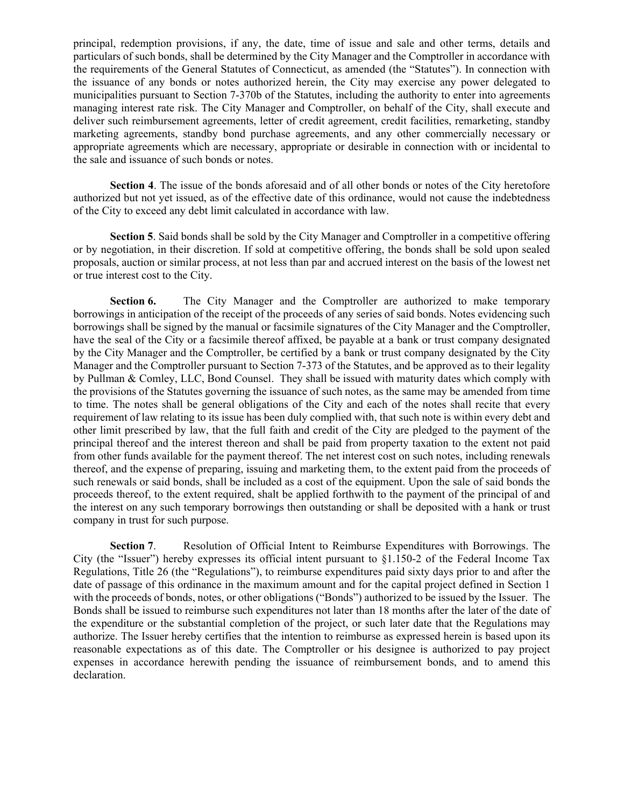principal, redemption provisions, if any, the date, time of issue and sale and other terms, details and particulars of such bonds, shall be determined by the City Manager and the Comptroller in accordance with the requirements of the General Statutes of Connecticut, as amended (the "Statutes"). In connection with the issuance of any bonds or notes authorized herein, the City may exercise any power delegated to municipalities pursuant to Section 7-370b of the Statutes, including the authority to enter into agreements managing interest rate risk. The City Manager and Comptroller, on behalf of the City, shall execute and deliver such reimbursement agreements, letter of credit agreement, credit facilities, remarketing, standby marketing agreements, standby bond purchase agreements, and any other commercially necessary or appropriate agreements which are necessary, appropriate or desirable in connection with or incidental to the sale and issuance of such bonds or notes.

**Section 4**. The issue of the bonds aforesaid and of all other bonds or notes of the City heretofore authorized but not yet issued, as of the effective date of this ordinance, would not cause the indebtedness of the City to exceed any debt limit calculated in accordance with law.

**Section 5**. Said bonds shall be sold by the City Manager and Comptroller in a competitive offering or by negotiation, in their discretion. If sold at competitive offering, the bonds shall be sold upon sealed proposals, auction or similar process, at not less than par and accrued interest on the basis of the lowest net or true interest cost to the City.

**Section 6.** The City Manager and the Comptroller are authorized to make temporary borrowings in anticipation of the receipt of the proceeds of any series of said bonds. Notes evidencing such borrowings shall be signed by the manual or facsimile signatures of the City Manager and the Comptroller, have the seal of the City or a facsimile thereof affixed, be payable at a bank or trust company designated by the City Manager and the Comptroller, be certified by a bank or trust company designated by the City Manager and the Comptroller pursuant to Section 7-373 of the Statutes, and be approved as to their legality by Pullman & Comley, LLC, Bond Counsel. They shall be issued with maturity dates which comply with the provisions of the Statutes governing the issuance of such notes, as the same may be amended from time to time. The notes shall be general obligations of the City and each of the notes shall recite that every requirement of law relating to its issue has been duly complied with, that such note is within every debt and other limit prescribed by law, that the full faith and credit of the City are pledged to the payment of the principal thereof and the interest thereon and shall be paid from property taxation to the extent not paid from other funds available for the payment thereof. The net interest cost on such notes, including renewals thereof, and the expense of preparing, issuing and marketing them, to the extent paid from the proceeds of such renewals or said bonds, shall be included as a cost of the equipment. Upon the sale of said bonds the proceeds thereof, to the extent required, shalt be applied forthwith to the payment of the principal of and the interest on any such temporary borrowings then outstanding or shall be deposited with a hank or trust company in trust for such purpose.

**Section 7**. Resolution of Official Intent to Reimburse Expenditures with Borrowings. The City (the "Issuer") hereby expresses its official intent pursuant to  $\S1.150-2$  of the Federal Income Tax Regulations, Title 26 (the "Regulations"), to reimburse expenditures paid sixty days prior to and after the date of passage of this ordinance in the maximum amount and for the capital project defined in Section 1 with the proceeds of bonds, notes, or other obligations ("Bonds") authorized to be issued by the Issuer. The Bonds shall be issued to reimburse such expenditures not later than 18 months after the later of the date of the expenditure or the substantial completion of the project, or such later date that the Regulations may authorize. The Issuer hereby certifies that the intention to reimburse as expressed herein is based upon its reasonable expectations as of this date. The Comptroller or his designee is authorized to pay project expenses in accordance herewith pending the issuance of reimbursement bonds, and to amend this declaration.